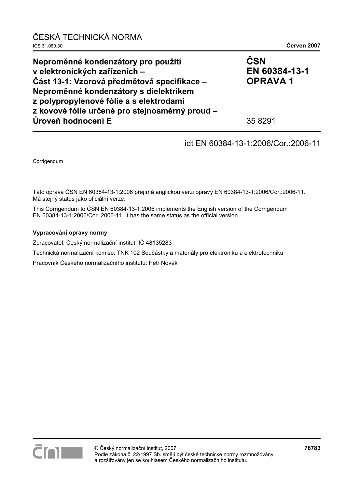| ČESKÁ TECHNICKÁ NORMA<br>ICS 31.060.30                                                                                                                                                                                                                                           | Červen 2007                                       |
|----------------------------------------------------------------------------------------------------------------------------------------------------------------------------------------------------------------------------------------------------------------------------------|---------------------------------------------------|
| Neproměnné kondenzátory pro použití<br>v elektronických zařízeních -<br>Část 13-1: Vzorová předmětová specifikace –<br>Neproměnné kondenzátory s dielektrikem<br>z polypropylenové fólie a s elektrodami<br>z kovové fólie určené pro stejnosměrný proud -<br>Úroveň hodnocení E | ČSN<br>EN 60384-13-1<br><b>OPRAVA1</b><br>35 8291 |
|                                                                                                                                                                                                                                                                                  |                                                   |

## idt EN 60384-13-1:2006/Cor.:2006-11

Corrigendum

Tato oprava ČSN EN 60384-13-1:2006 přejímá anglickou verzi opravy EN 60384-13-1:2006/Cor.:2006-11. Má stejný status jako oficiální verze.

This Corrigendum to ČSN EN 60384-13-1:2006 implements the English version of the Corrigendum EN 60384-13-1:2006/Cor.:2006-11. It has the same status as the official version.

#### **Vypracování opravy normy**

Zpracovatel: Český normalizační institut, IČ 48135283

Technická normalizační komise: TNK 102 Součástky a materiály pro elektroniku a elektrotechniku

Pracovník Českého normalizačního institutu: Petr Novák

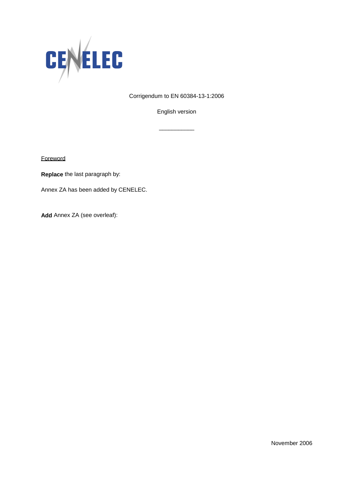

Corrigendum to EN 60384-13-1:2006

English version

\_\_\_\_\_\_\_\_\_\_\_

**Foreword** 

**Replace** the last paragraph by:

Annex ZA has been added by CENELEC.

**Add** Annex ZA (see overleaf):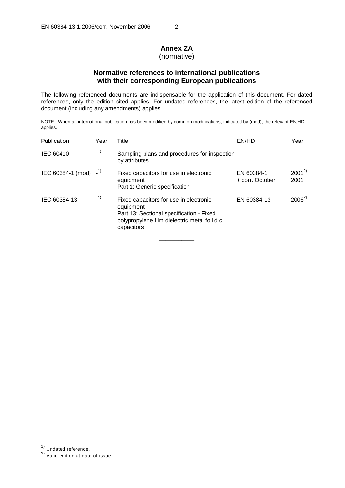# **Annex ZA**

## (normative)

## **Normative references to international publications with their corresponding European publications**

The following referenced documents are indispensable for the application of this document. For dated references, only the edition cited applies. For undated references, the latest edition of the referenced document (including any amendments) applies.

NOTE When an international publication has been modified by common modifications, indicated by (mod), the relevant EN/HD applies.

| Publication                          | Year  | <u>Title</u>                                                                                                                                                   | EN/HD                         | Year               |
|--------------------------------------|-------|----------------------------------------------------------------------------------------------------------------------------------------------------------------|-------------------------------|--------------------|
| <b>IEC 60410</b>                     | $-1)$ | Sampling plans and procedures for inspection -<br>by attributes                                                                                                |                               |                    |
| IEC 60384-1 (mod) $-1$ <sup>1)</sup> |       | Fixed capacitors for use in electronic<br>equipment<br>Part 1: Generic specification                                                                           | EN 60384-1<br>+ corr. October | $2001^{2}$<br>2001 |
| IEC 60384-13                         | $-1)$ | Fixed capacitors for use in electronic<br>equipment<br>Part 13: Sectional specification - Fixed<br>polypropylene film dielectric metal foil d.c.<br>capacitors | EN 60384-13                   | $2006^{2}$         |

\_\_\_\_\_\_\_\_\_\_\_

j

<sup>1)</sup> Undated reference.

<sup>2)</sup> Valid edition at date of issue.